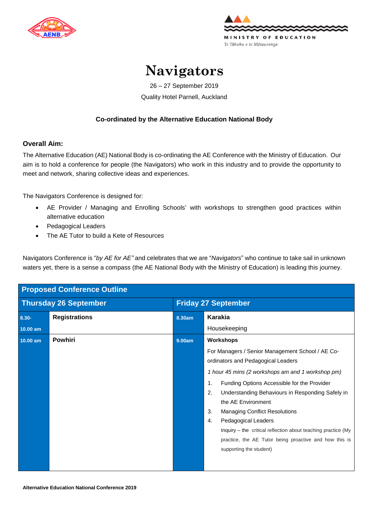



## **Navigators**

26 – 27 September 2019 Quality Hotel Parnell, Auckland

## **Co-ordinated by the Alternative Education National Body**

## **Overall Aim:**

The Alternative Education (AE) National Body is co-ordinating the AE Conference with the Ministry of Education. Our aim is to hold a conference for people (the Navigators) who work in this industry and to provide the opportunity to meet and network, sharing collective ideas and experiences.

The Navigators Conference is designed for:

- AE Provider / Managing and Enrolling Schools' with workshops to strengthen good practices within alternative education
- Pedagogical Leaders
- The AE Tutor to build a Kete of Resources

Navigators Conference is "*by AE for AE"* and celebrates that we are "*Navigators*" who continue to take sail in unknown waters yet, there is a sense a compass (the AE National Body with the Ministry of Education) is leading this journey.

| <b>Proposed Conference Outline</b> |                      |                            |                                                                                                                                                                                                                                                                                                                                                                                                                                                                                                                                                   |  |
|------------------------------------|----------------------|----------------------------|---------------------------------------------------------------------------------------------------------------------------------------------------------------------------------------------------------------------------------------------------------------------------------------------------------------------------------------------------------------------------------------------------------------------------------------------------------------------------------------------------------------------------------------------------|--|
| <b>Thursday 26 September</b>       |                      | <b>Friday 27 September</b> |                                                                                                                                                                                                                                                                                                                                                                                                                                                                                                                                                   |  |
| 8.30-<br>$10.00$ am                | <b>Registrations</b> | 8.30am                     | <b>Karakia</b><br>Housekeeping                                                                                                                                                                                                                                                                                                                                                                                                                                                                                                                    |  |
| 10.00 am                           | <b>Powhiri</b>       | 9.00am                     | <b>Workshops</b><br>For Managers / Senior Management School / AE Co-<br>ordinators and Pedagogical Leaders<br>1 hour 45 mins (2 workshops am and 1 workshop pm)<br>$\mathbf{1}$ .<br>Funding Options Accessible for the Provider<br>2.<br>Understanding Behaviours in Responding Safely in<br>the AE Environment<br>3.<br><b>Managing Conflict Resolutions</b><br>4.<br>Pedagogical Leaders<br>Inquiry - the critical reflection about teaching practice (My<br>practice, the AE Tutor being proactive and how this is<br>supporting the student) |  |